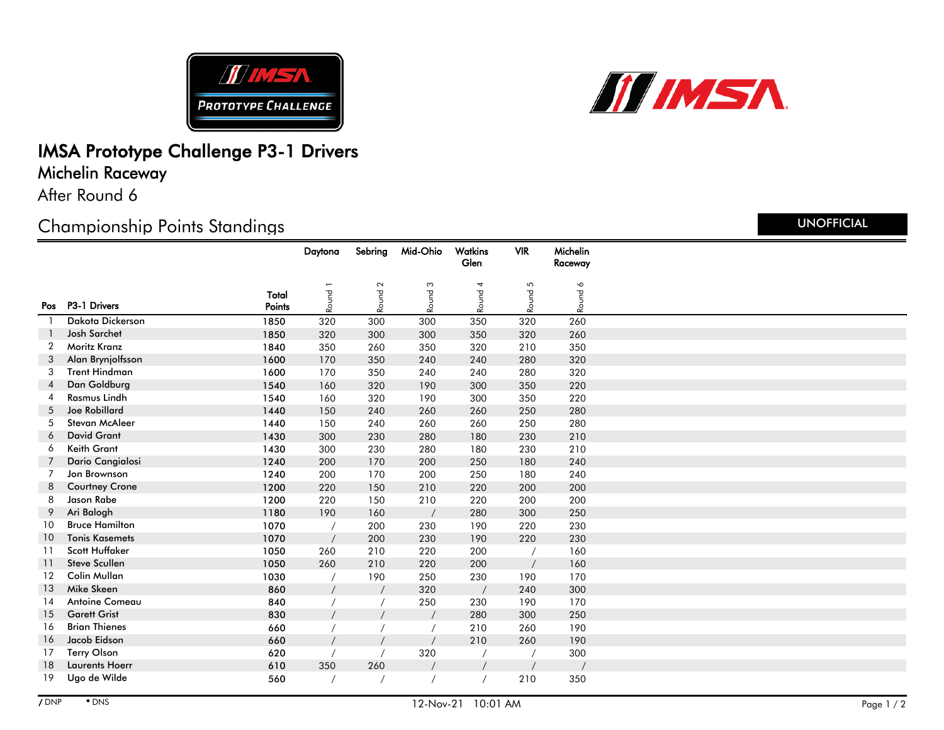



# IMSA Prototype Challenge P3-1 Drivers

Michelin Raceway

After Round 6

## Championship Points Standings

|    |                       |                 | Daytona            | Sebring             | Mid-Ohio | Watkins | <b>VIR</b> | Michelin |  |
|----|-----------------------|-----------------|--------------------|---------------------|----------|---------|------------|----------|--|
|    |                       |                 |                    |                     |          | Glen    |            | Raceway  |  |
|    |                       |                 |                    | $\boldsymbol{\sim}$ |          |         |            |          |  |
|    | Pos P3-1 Drivers      | Total<br>Points | Round <sub>1</sub> | Round               | Round 3  | Round 4 | Round 5    | Round 6  |  |
|    |                       |                 |                    |                     |          |         |            |          |  |
|    | Dakota Dickerson      | 1850            | 320                | 300                 | 300      | 350     | 320        | 260      |  |
|    | Josh Sarchet          | 1850            | 320                | 300                 | 300      | 350     | 320        | 260      |  |
| 2  | Moritz Kranz          | 1840            | 350                | 260                 | 350      | 320     | 210        | 350      |  |
| 3  | Alan Brynjolfsson     | 1600            | 170                | 350                 | 240      | 240     | 280        | 320      |  |
| 3  | <b>Trent Hindman</b>  | 1600            | 170                | 350                 | 240      | 240     | 280        | 320      |  |
| 4  | Dan Goldburg          | 1540            | 160                | 320                 | 190      | 300     | 350        | 220      |  |
| 4  | Rasmus Lindh          | 1540            | 160                | 320                 | 190      | 300     | 350        | 220      |  |
| 5  | <b>Joe Robillard</b>  | 1440            | 150                | 240                 | 260      | 260     | 250        | 280      |  |
| 5  | <b>Stevan McAleer</b> | 1440            | 150                | 240                 | 260      | 260     | 250        | 280      |  |
| 6  | <b>David Grant</b>    | 1430            | 300                | 230                 | 280      | 180     | 230        | 210      |  |
| 6  | Keith Grant           | 1430            | 300                | 230                 | 280      | 180     | 230        | 210      |  |
|    | Dario Cangialosi      | 1240            | 200                | 170                 | 200      | 250     | 180        | 240      |  |
| 7  | Jon Brownson          | 1240            | 200                | 170                 | 200      | 250     | 180        | 240      |  |
| 8  | <b>Courtney Crone</b> | 1200            | 220                | 150                 | 210      | 220     | 200        | 200      |  |
| 8  | Jason Rabe            | 1200            | 220                | 150                 | 210      | 220     | 200        | 200      |  |
| 9  | Ari Balogh            | 1180            | 190                | 160                 |          | 280     | 300        | 250      |  |
| 10 | <b>Bruce Hamilton</b> | 1070            |                    | 200                 | 230      | 190     | 220        | 230      |  |
| 10 | <b>Tonis Kasemets</b> | 1070            |                    | 200                 | 230      | 190     | 220        | 230      |  |
| 11 | Scott Huffaker        | 1050            | 260                | 210                 | 220      | 200     |            | 160      |  |
| 11 | <b>Steve Scullen</b>  | 1050            | 260                | 210                 | 220      | 200     |            | 160      |  |
| 12 | Colin Mullan          | 1030            |                    | 190                 | 250      | 230     | 190        | 170      |  |
| 13 | Mike Skeen            | 860             |                    |                     | 320      |         | 240        | 300      |  |
| 14 | Antoine Comeau        | 840             |                    |                     | 250      | 230     | 190        | 170      |  |
| 15 | <b>Garett Grist</b>   | 830             |                    |                     |          | 280     | 300        | 250      |  |
| 16 | <b>Brian Thienes</b>  | 660             |                    |                     |          | 210     | 260        | 190      |  |
| 16 | Jacob Eidson          | 660             |                    |                     |          | 210     | 260        | 190      |  |
| 17 | <b>Terry Olson</b>    | 620             |                    |                     | 320      |         |            | 300      |  |
| 18 | <b>Laurents Hoerr</b> | 610             | 350                | 260                 |          |         |            |          |  |
| 19 | Ugo de Wilde          | 560             |                    |                     |          |         | 210        | 350      |  |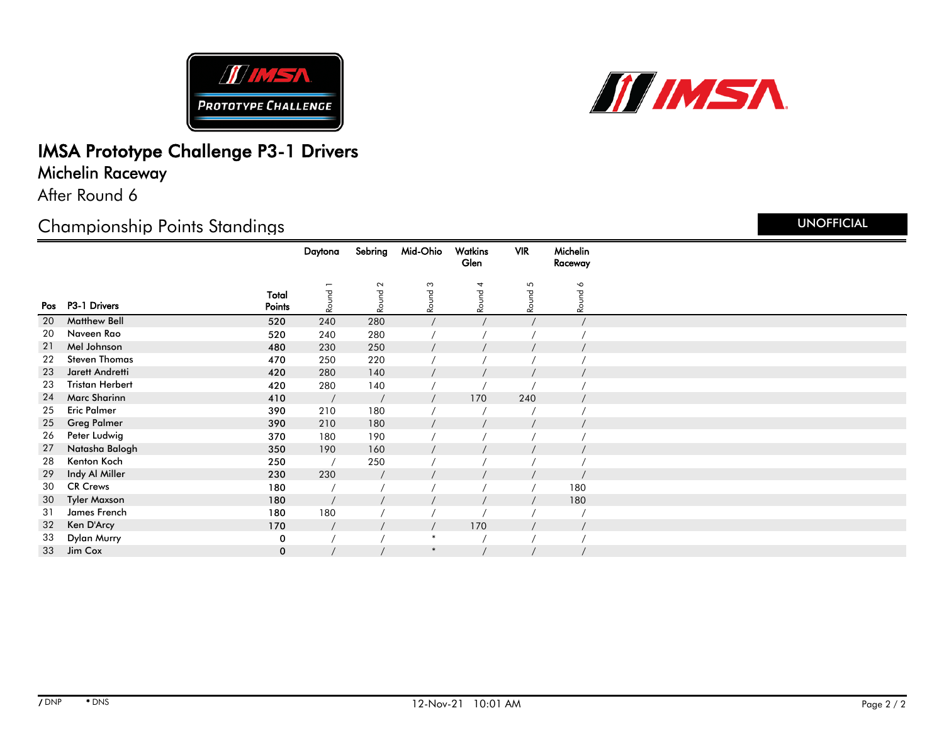



# IMSA Prototype Challenge P3-1 Drivers

Michelin Raceway

After Round 6

## Championship Points Standings

|    |                        |                 | Daytona | Sebring | Mid-Ohio       | Watkins | <b>VIR</b> | Michelin |  |
|----|------------------------|-----------------|---------|---------|----------------|---------|------------|----------|--|
|    |                        |                 |         |         |                | Glen    |            | Raceway  |  |
|    |                        |                 |         | $\sim$  | $\mathfrak{S}$ |         | 5          | $\sim$   |  |
|    | Pos P3-1 Drivers       | Total<br>Points | Round   | Round   | Round          | Round 4 | Round      | Round    |  |
| 20 | <b>Matthew Bell</b>    | 520             | 240     | 280     |                |         |            |          |  |
| 20 | Naveen Rao             | 520             | 240     | 280     |                |         |            |          |  |
| 21 | Mel Johnson            | 480             | 230     | 250     |                |         |            |          |  |
| 22 | <b>Steven Thomas</b>   | 470             | 250     | 220     |                |         |            |          |  |
| 23 | Jarett Andretti        | 420             | 280     | 140     |                |         |            |          |  |
| 23 | <b>Tristan Herbert</b> | 420             | 280     | 140     |                |         |            |          |  |
| 24 | <b>Marc Sharinn</b>    | 410             |         |         |                | 170     | 240        |          |  |
| 25 | <b>Eric Palmer</b>     | 390             | 210     | 180     |                |         |            |          |  |
| 25 | <b>Greg Palmer</b>     | 390             | 210     | 180     |                |         |            |          |  |
| 26 | Peter Ludwig           | 370             | 180     | 190     |                |         |            |          |  |
| 27 | Natasha Balogh         | 350             | 190     | 160     |                |         |            |          |  |
| 28 | Kenton Koch            | 250             |         | 250     |                |         |            |          |  |
| 29 | Indy Al Miller         | 230             | 230     |         |                |         |            |          |  |
| 30 | <b>CR Crews</b>        | 180             |         |         |                |         |            | 180      |  |
| 30 | <b>Tyler Maxson</b>    | 180             |         |         |                |         |            | 180      |  |
| 31 | James French           | 180             | 180     |         |                |         |            |          |  |
| 32 | Ken D'Arcy             | 170             |         |         |                | 170     |            |          |  |
| 33 | Dylan Murry            | 0               |         |         | ∗              |         |            |          |  |
| 33 | Jim Cox                | 0               |         |         | $\ast$         |         |            |          |  |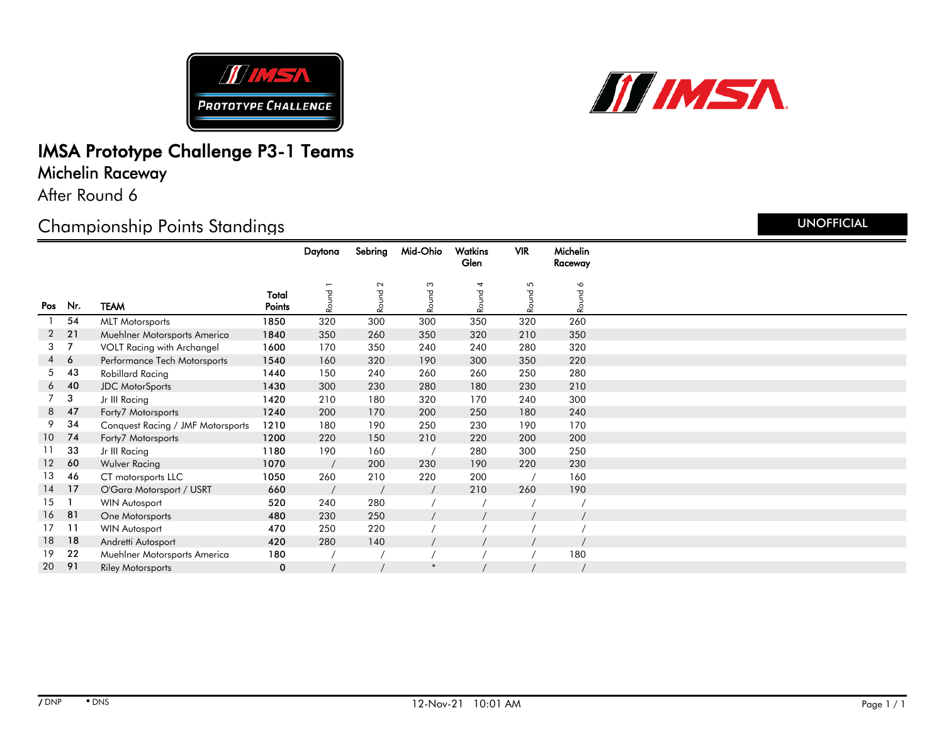



### IMSA Prototype Challenge P3-1 Teams Michelin Raceway

After Round 6

### Championship Points Standings

|                  |            |                                   |                 | Daytona | Sebring | Mid-Ohio | Watkins | <b>VIR</b> | Michelin  |  |
|------------------|------------|-----------------------------------|-----------------|---------|---------|----------|---------|------------|-----------|--|
|                  |            |                                   |                 |         |         |          | Glen    |            | Raceway   |  |
|                  |            |                                   |                 |         | $\sim$  | S        |         | 5          | $\bullet$ |  |
| Pos              | Nr.        | <b>TEAM</b>                       | Total<br>Points | Round 1 | Round   | Round    | Round 4 | Round      | Round     |  |
|                  | 54         | <b>MLT Motorsports</b>            | 1850            | 320     | 300     | 300      | 350     | 320        | 260       |  |
| $\overline{2}$   | 21         | Muehlner Motorsports America      | 1840            | 350     | 260     | 350      | 320     | 210        | 350       |  |
| $3 \overline{7}$ |            | VOLT Racing with Archangel        | 1600            | 170     | 350     | 240      | 240     | 280        | 320       |  |
|                  | $4\quad 6$ | Performance Tech Motorsports      | 1540            | 160     | 320     | 190      | 300     | 350        | 220       |  |
| 5                | 43         | Robillard Racing                  | 1440            | 150     | 240     | 260      | 260     | 250        | 280       |  |
| 6                | 40         | <b>JDC</b> MotorSports            | 1430            | 300     | 230     | 280      | 180     | 230        | 210       |  |
| $7^{\circ}$      | 3          | Jr III Racing                     | 1420            | 210     | 180     | 320      | 170     | 240        | 300       |  |
| 8                | 47         | Forty7 Motorsports                | 1240            | 200     | 170     | 200      | 250     | 180        | 240       |  |
| 9                | 34         | Conquest Racing / JMF Motorsports | 1210            | 180     | 190     | 250      | 230     | 190        | 170       |  |
| 10 <sup>°</sup>  | 74         | Forty7 Motorsports                | 1200            | 220     | 150     | 210      | 220     | 200        | 200       |  |
| 11               | 33         | Jr III Racing                     | 1180            | 190     | 160     |          | 280     | 300        | 250       |  |
| 12               | 60         | Wulver Racing                     | 1070            |         | 200     | 230      | 190     | 220        | 230       |  |
| 13               | 46         | CT motorsports LLC                | 1050            | 260     | 210     | 220      | 200     |            | 160       |  |
| $14$ 17          |            | O'Gara Motorsport / USRT          | 660             |         |         |          | 210     | 260        | 190       |  |
| 15               |            | <b>WIN Autosport</b>              | 520             | 240     | 280     |          |         |            |           |  |
| 16 81            |            | One Motorsports                   | 480             | 230     | 250     |          |         |            |           |  |
| 17 <sup>7</sup>  | 11         | <b>WIN Autosport</b>              | 470             | 250     | 220     |          |         |            |           |  |
| 18               | 18         | Andretti Autosport                | 420             | 280     | 140     |          |         |            |           |  |
| 19               | 22         | Muehlner Motorsports America      | 180             |         |         |          |         |            | 180       |  |
| 20               | 91         | <b>Riley Motorsports</b>          | 0               |         |         | $\ast$   |         |            |           |  |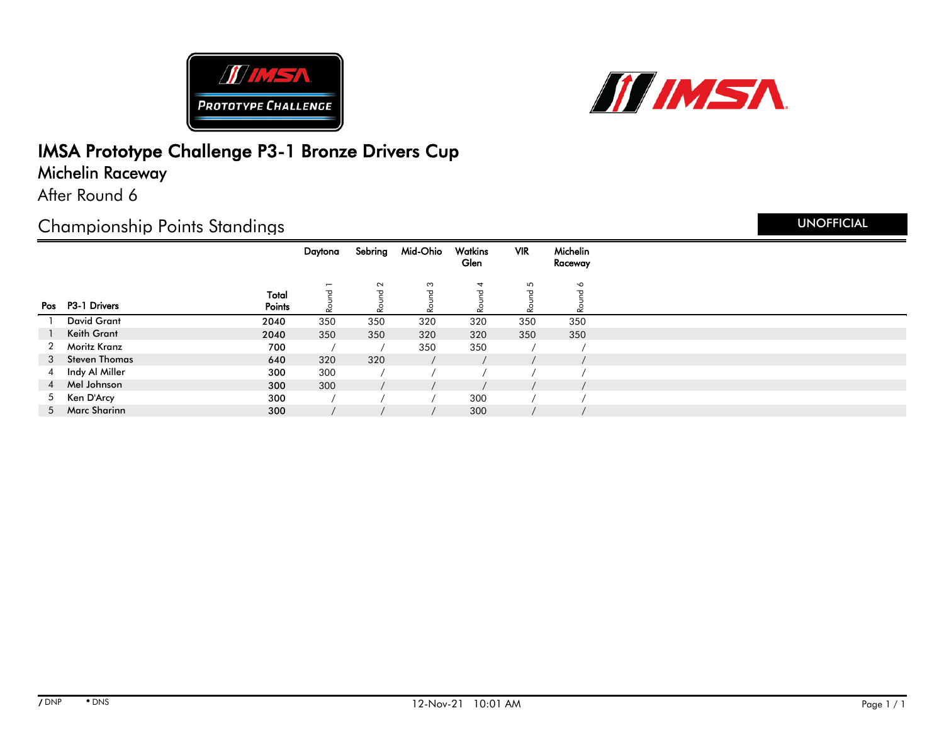



## IMSA Prototype Challenge P3-1 Bronze Drivers Cup

### Michelin Raceway

After Round 6

### Championship Points Standings

|   |                    |                 | Daytona | Sebring | Mid-Ohio | Watkins<br>Glen | <b>VIR</b> | Michelin<br>Raceway           |  |
|---|--------------------|-----------------|---------|---------|----------|-----------------|------------|-------------------------------|--|
|   |                    |                 |         | $\sim$  | S        | 4               | 5          | $\circ$                       |  |
|   | Pos P3-1 Drivers   | Total<br>Points | ᠊ᠣ<br>∼ | ᠊ᠣ<br>Ñ |          | ᅮ               | ᠊ᠣ<br>చ    | $\overline{\sigma}$<br>$\sim$ |  |
|   | <b>David Grant</b> | 2040            | 350     | 350     | 320      | 320             | 350        | 350                           |  |
|   | Keith Grant        | 2040            | 350     | 350     | 320      | 320             | 350        | 350                           |  |
| 2 | Moritz Kranz       | 700             |         |         | 350      | 350             |            |                               |  |
| 3 | Steven Thomas      | 640             | 320     | 320     |          |                 |            |                               |  |
|   | 4 Indy Al Miller   | 300             | 300     |         |          |                 |            |                               |  |
|   | 4 Mel Johnson      | 300             | 300     |         |          |                 |            |                               |  |
| 5 | Ken D'Arcy         | 300             |         |         |          | 300             |            |                               |  |
|   | 5 Marc Sharinn     | 300             |         |         |          | 300             |            |                               |  |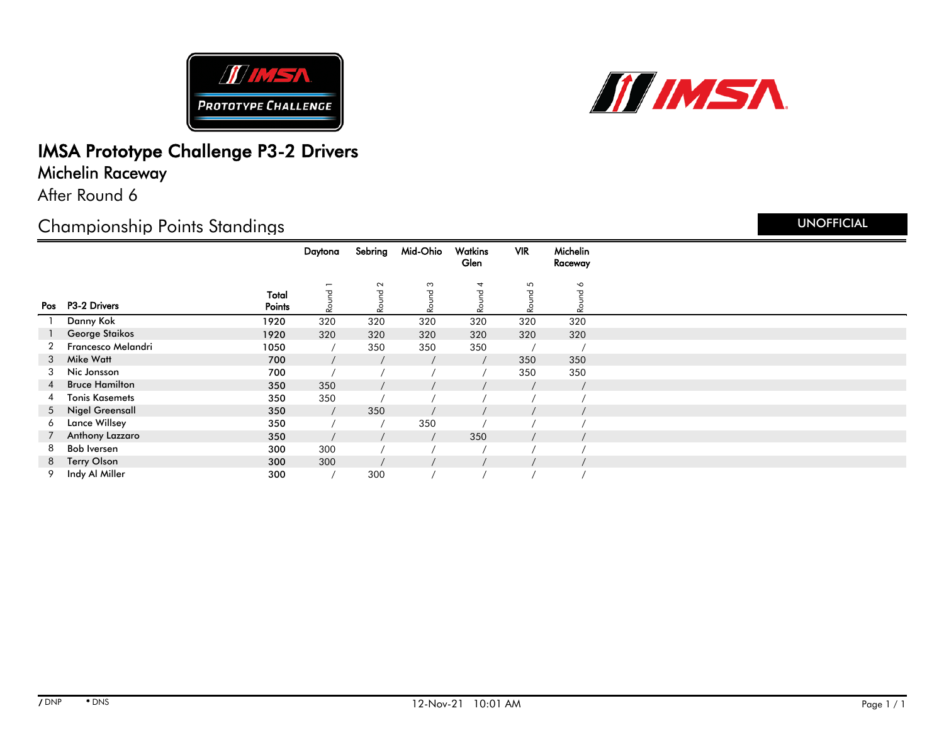



# IMSA Prototype Challenge P3-2 Drivers

Michelin Raceway

After Round 6

### Championship Points Standings

|   |                           |                 | Daytona                 | Sebring           | Mid-Ohio                     | Watkins<br>Glen | <b>VIR</b> | Michelin<br>Raceway |  |
|---|---------------------------|-----------------|-------------------------|-------------------|------------------------------|-----------------|------------|---------------------|--|
|   | Pos P3-2 Drivers          | Total<br>Points | $\overline{ }$<br>Round | $\sim$<br>᠊ᠣ<br>2 | S<br>$\mathbf \sigma$<br>Rou | 4<br>᠊ᠣ<br>Rour | 5<br>Round | $\bullet$<br>Round  |  |
|   | Danny Kok                 | 1920            | 320                     | 320               | 320                          | 320             | 320        | 320                 |  |
|   | George Staikos            | 1920            | 320                     | 320               | 320                          | 320             | 320        | 320                 |  |
| 2 | <b>Francesco Melandri</b> | 1050            |                         | 350               | 350                          | 350             |            |                     |  |
| 3 | Mike Watt                 | 700             |                         |                   |                              |                 | 350        | 350                 |  |
| 3 | Nic Jonsson               | 700             |                         |                   |                              |                 | 350        | 350                 |  |
| 4 | <b>Bruce Hamilton</b>     | 350             | 350                     |                   |                              |                 |            |                     |  |
| 4 | <b>Tonis Kasemets</b>     | 350             | 350                     |                   |                              |                 |            |                     |  |
|   | 5 Nigel Greensall         | 350             |                         | 350               |                              |                 |            |                     |  |
| 6 | <b>Lance Willsey</b>      | 350             |                         |                   | 350                          |                 |            |                     |  |
|   | Anthony Lazzaro           | 350             |                         |                   |                              | 350             |            |                     |  |
| 8 | <b>Bob Iversen</b>        | 300             | 300                     |                   |                              |                 |            |                     |  |
|   | 8 Terry Olson             | 300             | 300                     |                   |                              |                 |            |                     |  |
| 9 | Indy Al Miller            | 300             |                         | 300               |                              |                 |            |                     |  |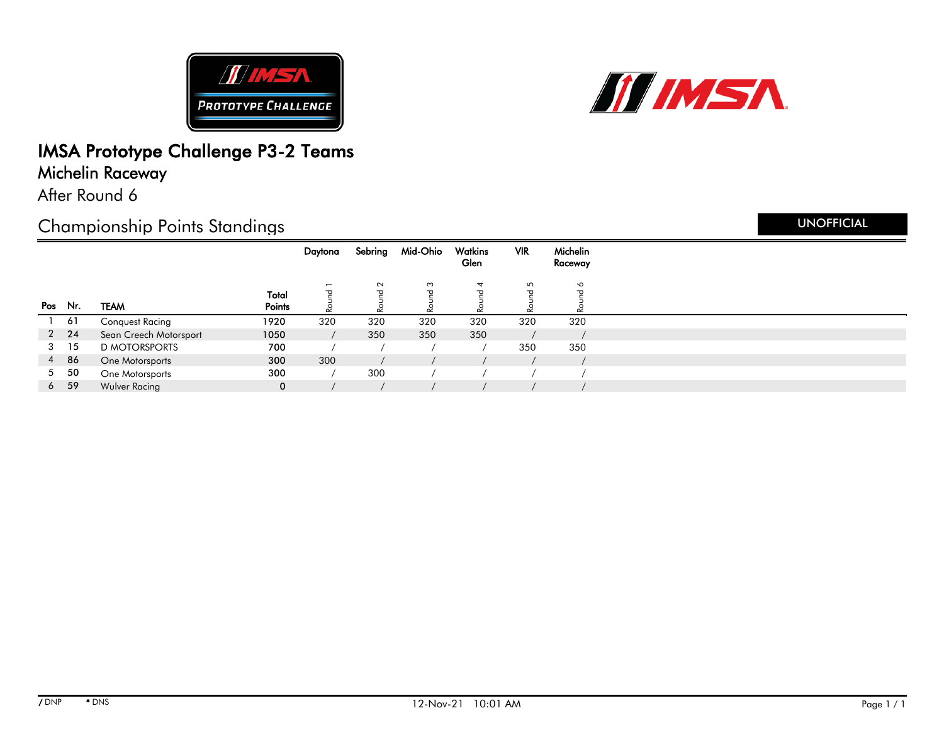



## IMSA Prototype Challenge P3-2 Teams

### Michelin Raceway

After Round 6

### Championship Points Standings

|         |              |                        |                 | Daytona                        | Sebring | Mid-Ohio             | Watkins<br>Glen   | <b>VIR</b>   | Michelin<br>Raceway                      |
|---------|--------------|------------------------|-----------------|--------------------------------|---------|----------------------|-------------------|--------------|------------------------------------------|
| Pos Nr. |              | <b>TEAM</b>            | Total<br>Points | $\overline{\phantom{0}}$<br>᠊ᠣ | $\sim$  | $\mathfrak{S}$<br>᠊ᠣ | 4<br>᠊ᠣ<br>$\sim$ | 5<br>ರ<br>ΩŽ | $\circ$<br>$\overline{\sigma}$<br>$\sim$ |
|         | 61           | <b>Conquest Racing</b> | 1920            | 320                            | 320     | 320                  | 320               | 320          | 320                                      |
|         | $2 \quad 24$ | Sean Creech Motorsport | 1050            |                                | 350     | 350                  | 350               |              |                                          |
| 3       | 15           | <b>D MOTORSPORTS</b>   | 700             |                                |         |                      |                   | 350          | 350                                      |
| 4       | 86           | One Motorsports        | 300             | 300                            |         |                      |                   |              |                                          |
| 5       | 50           | One Motorsports        | 300             |                                | 300     |                      |                   |              |                                          |
| 6       | 59           | Wulver Racing          | $\mathbf 0$     |                                |         |                      |                   |              |                                          |